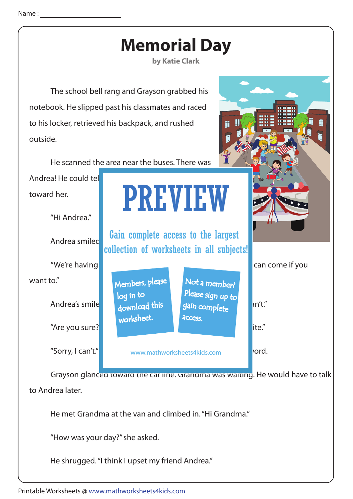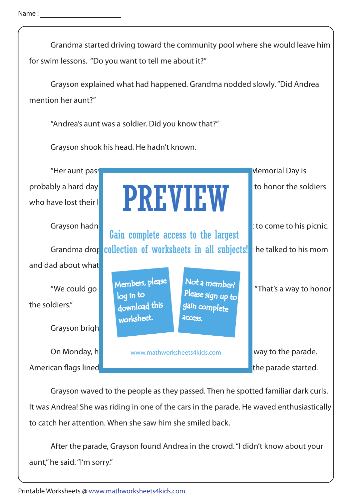Grandma started driving toward the community pool where she would leave him for swim lessons. "Do you want to tell me about it?" Grayson explained what had happened. Grandma nodded slowly. "Did Andrea mention her aunt?" Grayson hadn't known that that the Come of the Andrea didn't want to his picnic. "Andrea's aunt was a soldier. Did you know that?" Grayson shook his head. He hadn't known. Grayson brigh "Her aunt passed and away last year while serving in the army. Memorial Day is probably a hard day **for Andrea. The That's the day America** to honor the soldiers who have lost their lives in service to the country. In service to the countries in  $\blacksquare$ On Monday, he and his www.mathworksheets4kids.com **on the way to the parade.** American flags lined the streets and appearance in the streets and appearance started. Grandma drope collection of worksheets in all subjects! The talked to his mom and dad about what "We could go the Membership and the Membership of "That's a way to honor" the soldiers." PREVIEW Members, please download this worksheet. log in to Not a member? gain complete Please sign up to **access** Gain complete access to the largest

 Grayson waved to the people as they passed. Then he spotted familiar dark curls. It was Andrea! She was riding in one of the cars in the parade. He waved enthusiastically to catch her attention. When she saw him she smiled back.

 After the parade, Grayson found Andrea in the crowd. "I didn't know about your aunt," he said. "I'm sorry."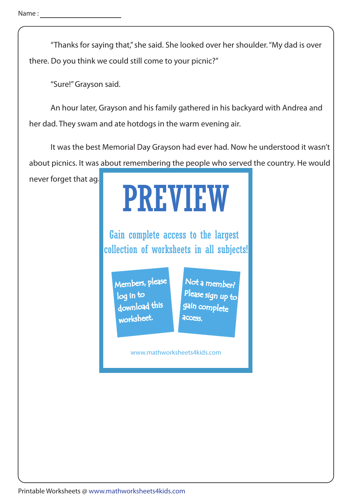"Thanks for saying that," she said. She looked over her shoulder. "My dad is over there. Do you think we could still come to your picnic?"

"Sure!" Grayson said.

 An hour later, Grayson and his family gathered in his backyard with Andrea and her dad. They swam and ate hotdogs in the warm evening air.

 It was the best Memorial Day Grayson had ever had. Now he understood it wasn't about picnics. It was about remembering the people who served the country. He would

never forget that again.

## PREVIEW

Gain complete access to the largest collection of worksheets in all subjects!

Members, please download this worksheet. log in to

Not a member? gain complete Please sign up to **access** 

www.mathworksheets4kids.com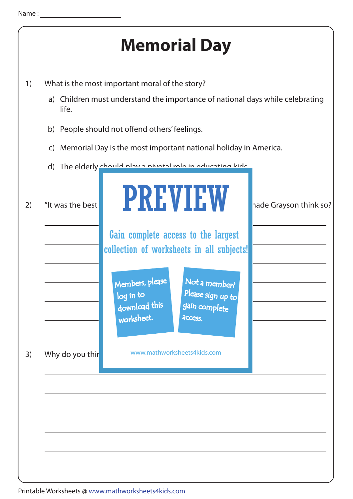

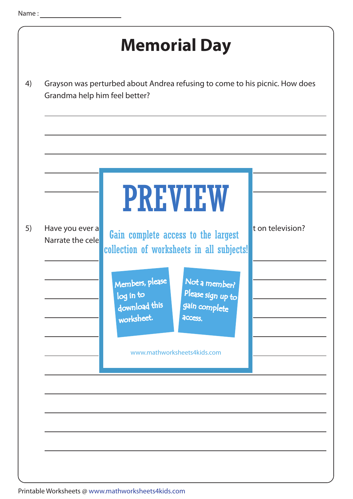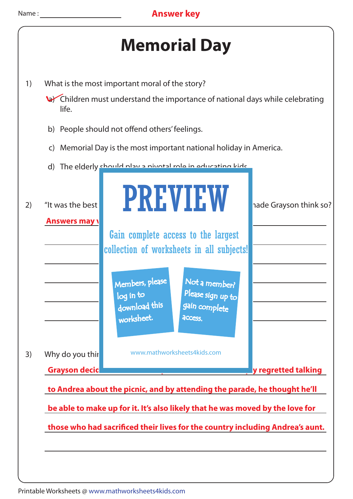



- 1) What is the most important moral of the story?
	- a) Children must understand the importance of national days while celebrating life.
	- b) People should not offend others' feelings.
	- c) Memorial Day is the most important national holiday in America.
	- d) The elderly should play a pivotal role in educating kids.